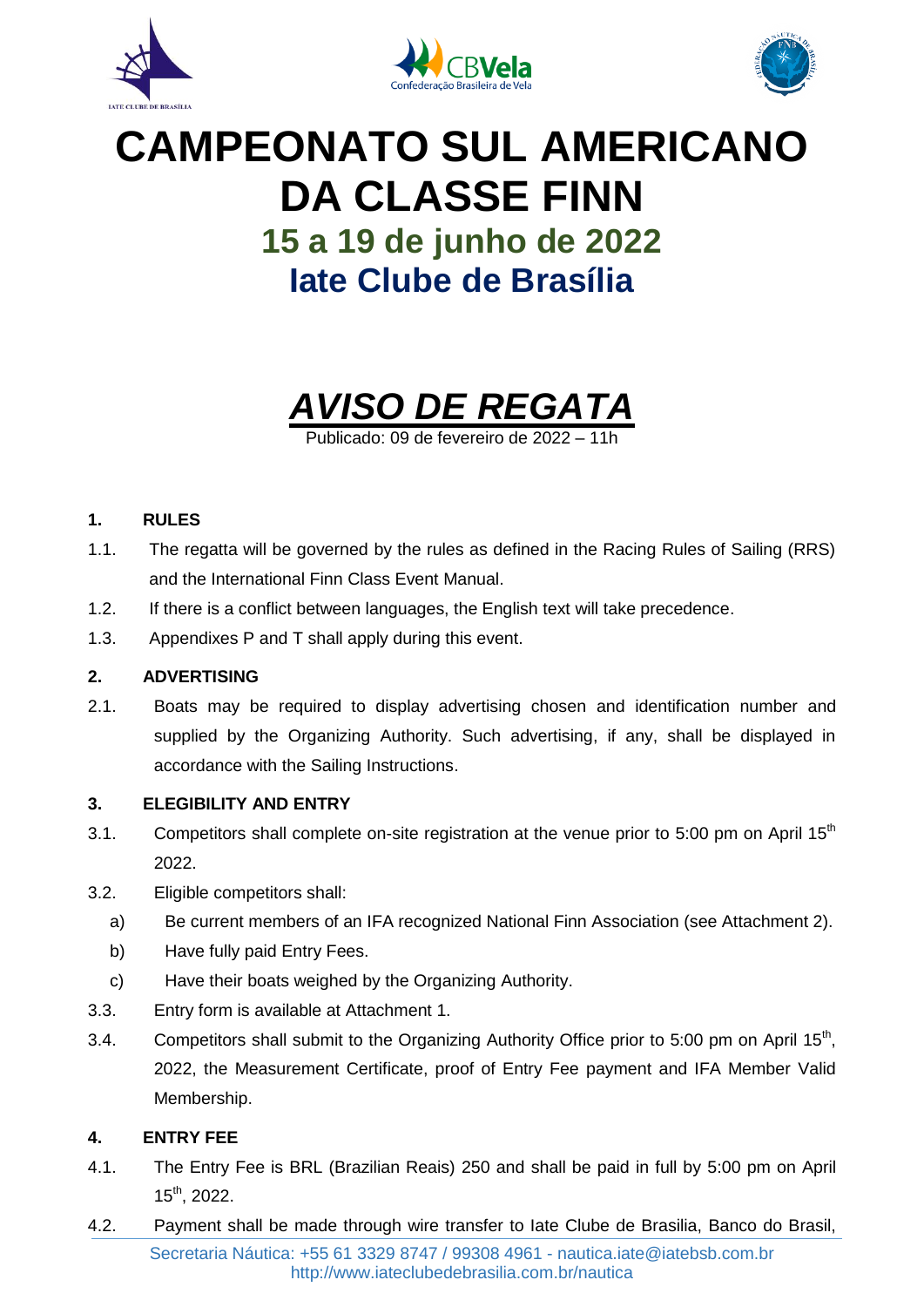





# **CAMPEONATO SUL AMERICANO DA CLASSE FINN 15 a 19 de junho de 2022 Iate Clube de Brasília**



Publicado: 09 de fevereiro de 2022 – 11h

#### **1. RULES**

- 1.1. The regatta will be governed by the rules as defined in the Racing Rules of Sailing (RRS) and the International Finn Class Event Manual.
- 1.2. If there is a conflict between languages, the English text will take precedence.
- 1.3. Appendixes P and T shall apply during this event.

#### **2. ADVERTISING**

2.1. Boats may be required to display advertising chosen and identification number and supplied by the Organizing Authority. Such advertising, if any, shall be displayed in accordance with the Sailing Instructions.

#### **3. ELEGIBILITY AND ENTRY**

- 3.1. Competitors shall complete on-site registration at the venue prior to 5:00 pm on April  $15<sup>th</sup>$ 2022.
- 3.2. Eligible competitors shall:
	- a) Be current members of an IFA recognized National Finn Association (see Attachment 2).
	- b) Have fully paid Entry Fees.
	- c) Have their boats weighed by the Organizing Authority.
- 3.3. Entry form is available at Attachment 1.
- 3.4. Competitors shall submit to the Organizing Authority Office prior to 5:00 pm on April 15<sup>th</sup>, 2022, the Measurement Certificate, proof of Entry Fee payment and IFA Member Valid Membership.

#### **4. ENTRY FEE**

- 4.1. The Entry Fee is BRL (Brazilian Reais) 250 and shall be paid in full by 5:00 pm on April 15th, 2022.
- 4.2. Payment shall be made through wire transfer to Iate Clube de Brasilia, Banco do Brasil,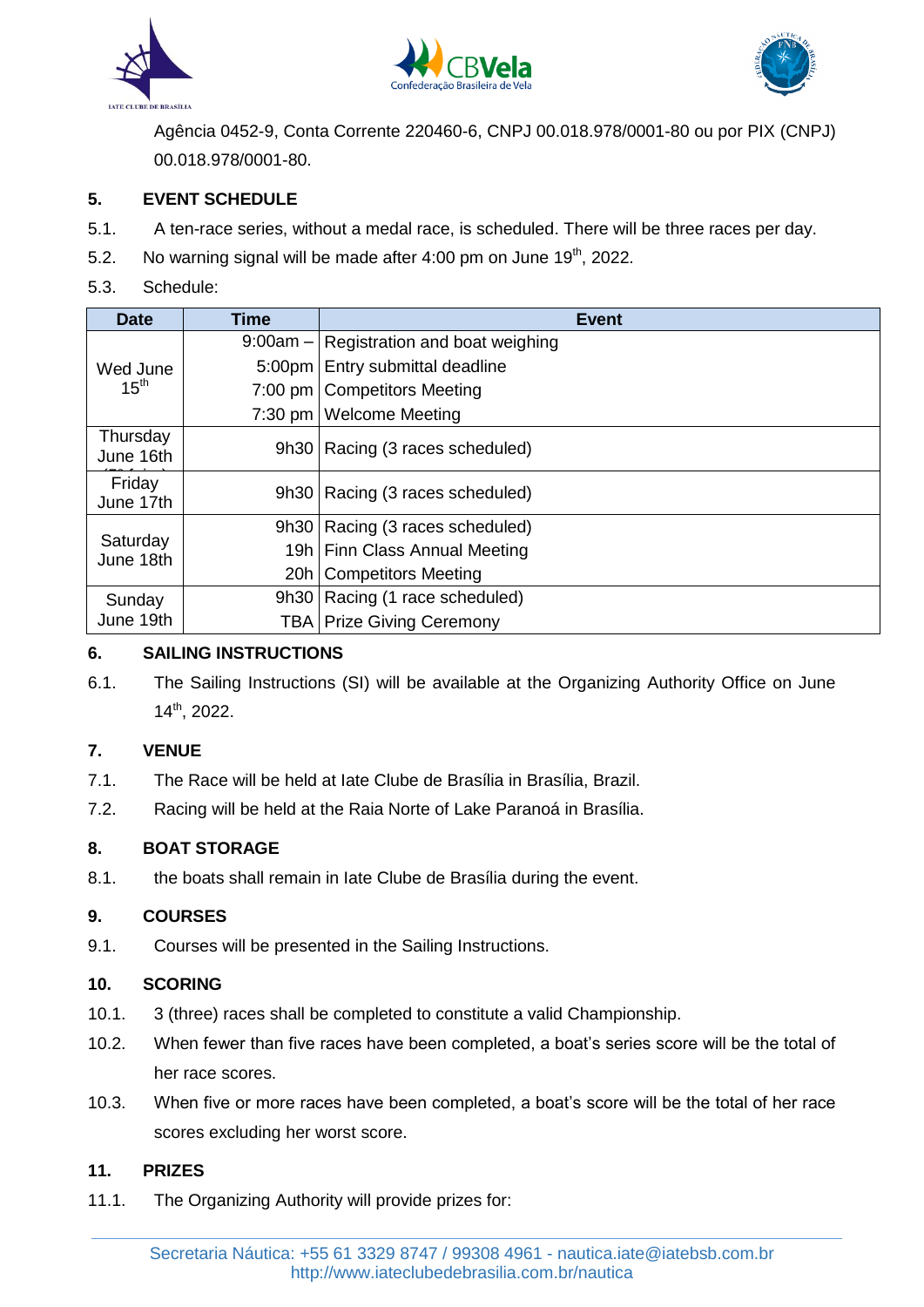





Agência 0452-9, Conta Corrente 220460-6, CNPJ 00.018.978/0001-80 ou por PIX (CNPJ) 00.018.978/0001-80.

#### **5. EVENT SCHEDULE**

- 5.1. A ten-race series, without a medal race, is scheduled. There will be three races per day.
- 5.2. No warning signal will be made after 4:00 pm on June 19<sup>th</sup>, 2022.

#### 5.3. Schedule:

| <b>Date</b>                  | <b>Time</b> | <b>Event</b>                                 |
|------------------------------|-------------|----------------------------------------------|
| Wed June<br>15 <sup>th</sup> |             | $9:00$ am $-$ Registration and boat weighing |
|                              | $5:00$ pm   | Entry submittal deadline                     |
|                              |             | 7:00 pm   Competitors Meeting                |
|                              | $7:30$ pm   | <b>Welcome Meeting</b>                       |
| Thursday<br>June 16th        |             | 9h30   Racing (3 races scheduled)            |
| Friday<br>June 17th          |             | 9h30   Racing (3 races scheduled)            |
| Saturday<br>June 18th        |             | 9h30   Racing (3 races scheduled)            |
|                              |             | 19h   Finn Class Annual Meeting              |
|                              | 20h         | <b>Competitors Meeting</b>                   |
| Sunday<br>June 19th          |             | 9h30   Racing (1 race scheduled)             |
|                              |             | <b>TBA Prize Giving Ceremony</b>             |

#### **6. SAILING INSTRUCTIONS**

6.1. The Sailing Instructions (SI) will be available at the Organizing Authority Office on June 14th, 2022.

#### **7. VENUE**

- 7.1. The Race will be held at Iate Clube de Brasília in Brasília, Brazil.
- 7.2. Racing will be held at the Raia Norte of Lake Paranoá in Brasília.

#### **8. BOAT STORAGE**

8.1. the boats shall remain in Iate Clube de Brasília during the event.

#### **9. COURSES**

9.1. Courses will be presented in the Sailing Instructions.

#### **10. SCORING**

- 10.1. 3 (three) races shall be completed to constitute a valid Championship.
- 10.2. When fewer than five races have been completed, a boat's series score will be the total of her race scores.
- 10.3. When five or more races have been completed, a boat's score will be the total of her race scores excluding her worst score.

#### **11. PRIZES**

11.1. The Organizing Authority will provide prizes for: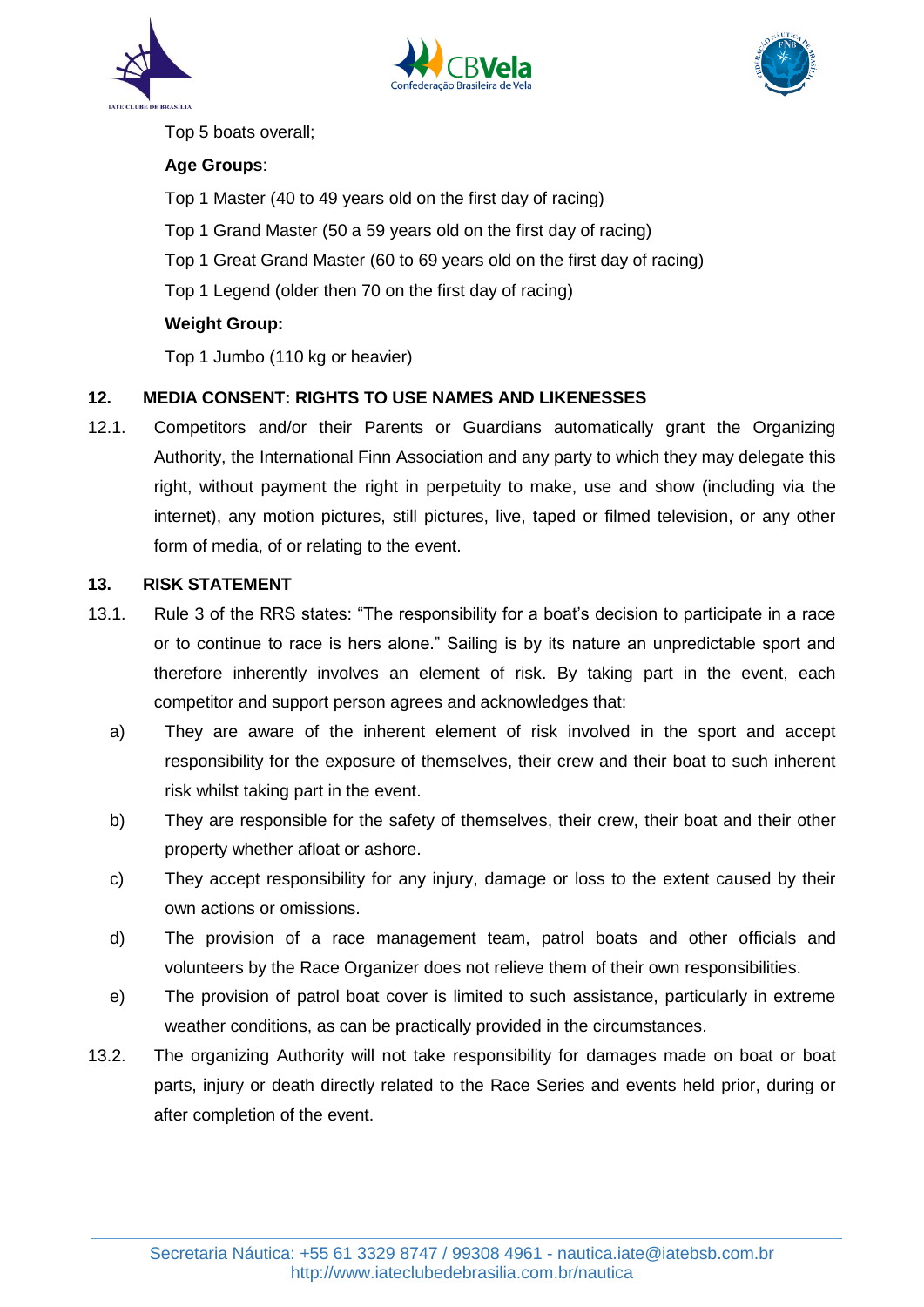





Top 5 boats overall;

#### **Age Groups**:

Top 1 Master (40 to 49 years old on the first day of racing)

- Top 1 Grand Master (50 a 59 years old on the first day of racing)
- Top 1 Great Grand Master (60 to 69 years old on the first day of racing)
- Top 1 Legend (older then 70 on the first day of racing)

#### **Weight Group:**

Top 1 Jumbo (110 kg or heavier)

#### **12. MEDIA CONSENT: RIGHTS TO USE NAMES AND LIKENESSES**

12.1. Competitors and/or their Parents or Guardians automatically grant the Organizing Authority, the International Finn Association and any party to which they may delegate this right, without payment the right in perpetuity to make, use and show (including via the internet), any motion pictures, still pictures, live, taped or filmed television, or any other form of media, of or relating to the event.

#### **13. RISK STATEMENT**

- 13.1. Rule 3 of the RRS states: "The responsibility for a boat's decision to participate in a race or to continue to race is hers alone." Sailing is by its nature an unpredictable sport and therefore inherently involves an element of risk. By taking part in the event, each competitor and support person agrees and acknowledges that:
	- a) They are aware of the inherent element of risk involved in the sport and accept responsibility for the exposure of themselves, their crew and their boat to such inherent risk whilst taking part in the event.
	- b) They are responsible for the safety of themselves, their crew, their boat and their other property whether afloat or ashore.
	- c) They accept responsibility for any injury, damage or loss to the extent caused by their own actions or omissions.
	- d) The provision of a race management team, patrol boats and other officials and volunteers by the Race Organizer does not relieve them of their own responsibilities.
	- e) The provision of patrol boat cover is limited to such assistance, particularly in extreme weather conditions, as can be practically provided in the circumstances.
- 13.2. The organizing Authority will not take responsibility for damages made on boat or boat parts, injury or death directly related to the Race Series and events held prior, during or after completion of the event.